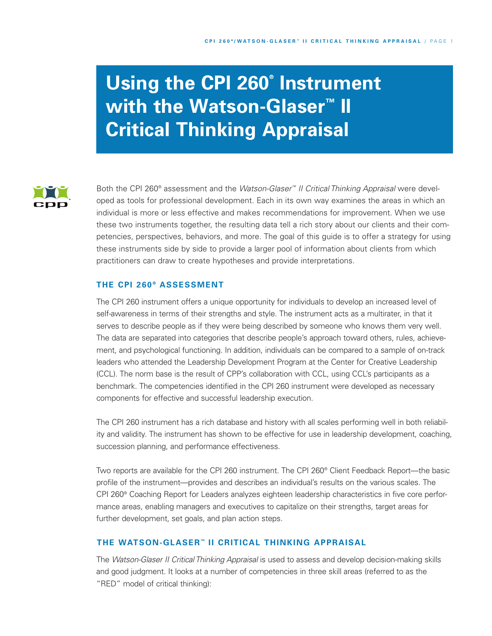# **Using the CPI 260® Instrument with the Watson-Glaser ™ II Critical Thinking Appraisal**



Both the CPI 260® assessment and the *Watson-Glaser™ II Critical Thinking Appraisal* were developed as tools for professional development. Each in its own way examines the areas in which an individual is more or less effective and makes recommendations for improvement. When we use these two instruments together, the resulting data tell a rich story about our clients and their competencies, perspectives, behaviors, and more. The goal of this guide is to offer a strategy for using these instruments side by side to provide a larger pool of information about clients from which practitioners can draw to create hypotheses and provide interpretations.

## **THE CPI 260 ® ASSESSMENT**

The CPI 260 instrument offers a unique opportunity for individuals to develop an increased level of self-awareness in terms of their strengths and style. The instrument acts as a multirater, in that it serves to describe people as if they were being described by someone who knows them very well. The data are separated into categories that describe people's approach toward others, rules, achievement, and psychological functioning. In addition, individuals can be compared to a sample of on-track leaders who attended the Leadership Development Program at the Center for Creative Leadership (CCL). The norm base is the result of CPP's collaboration with CCL, using CCL's participants as a benchmark. The competencies identified in the CPI 260 instrument were developed as necessary components for effective and successful leadership execution.

The CPI 260 instrument has a rich database and history with all scales performing well in both reliability and validity. The instrument has shown to be effective for use in leadership development, coaching, succession planning, and performance effectiveness.

Two reports are available for the CPI 260 instrument. The CPI 260® Client Feedback Report—the basic profile of the instrument—provides and describes an individual's results on the various scales. The CPI 260® Coaching Report for Leaders analyzes eighteen leadership characteristics in five core performance areas, enabling managers and executives to capitalize on their strengths, target areas for further development, set goals, and plan action steps.

# **THE WATSON-GLASER ™ II CRITICAL THINKING APPRAISAL**

The *Watson-Glaser II Critical Thinking Appraisal* is used to assess and develop decision-making skills and good judgment. It looks at a number of competencies in three skill areas (referred to as the "RED" model of critical thinking):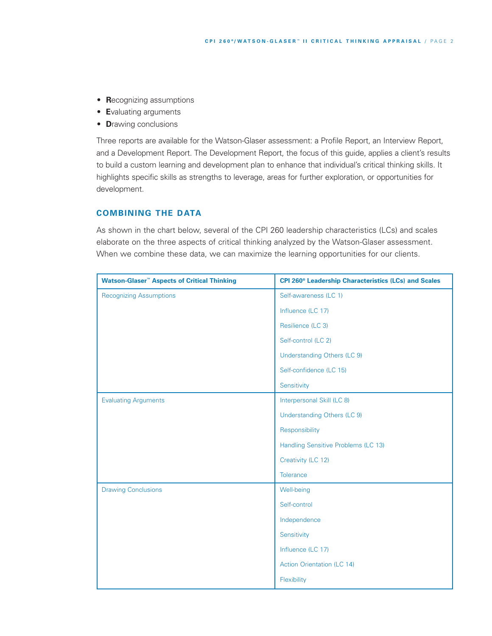- **R**ecognizing assumptions
- **E**valuating arguments
- **D**rawing conclusions

Three reports are available for the Watson-Glaser assessment: a Profile Report, an Interview Report, and a Development Report. The Development Report, the focus of this guide, applies a client's results to build a custom learning and development plan to enhance that individual's critical thinking skills. It highlights specific skills as strengths to leverage, areas for further exploration, or opportunities for development.

# **COMBINING THE DATA**

As shown in the chart below, several of the CPI 260 leadership characteristics (LCs) and scales elaborate on the three aspects of critical thinking analyzed by the Watson-Glaser assessment. When we combine these data, we can maximize the learning opportunities for our clients.

| <b>Watson-Glaser<sup>™</sup> Aspects of Critical Thinking</b> | CPI 260 <sup>®</sup> Leadership Characteristics (LCs) and Scales |
|---------------------------------------------------------------|------------------------------------------------------------------|
| <b>Recognizing Assumptions</b>                                | Self-awareness (LC 1)                                            |
|                                                               | Influence (LC 17)                                                |
|                                                               | Resilience (LC 3)                                                |
|                                                               | Self-control (LC 2)                                              |
|                                                               | <b>Understanding Others (LC 9)</b>                               |
|                                                               | Self-confidence (LC 15)                                          |
|                                                               | Sensitivity                                                      |
| <b>Evaluating Arguments</b>                                   | Interpersonal Skill (LC 8)                                       |
|                                                               | Understanding Others (LC 9)                                      |
|                                                               | Responsibility                                                   |
|                                                               | Handling Sensitive Problems (LC 13)                              |
|                                                               | Creativity (LC 12)                                               |
|                                                               | Tolerance                                                        |
| <b>Drawing Conclusions</b>                                    | Well-being                                                       |
|                                                               | Self-control                                                     |
|                                                               | Independence                                                     |
|                                                               | Sensitivity                                                      |
|                                                               | Influence (LC 17)                                                |
|                                                               | <b>Action Orientation (LC 14)</b>                                |
|                                                               | Flexibility                                                      |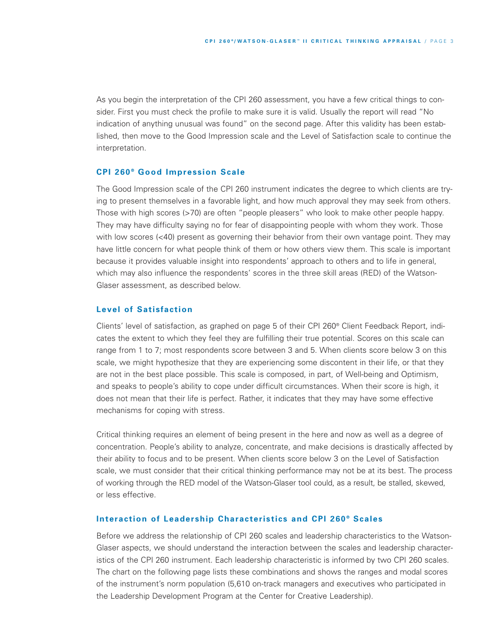As you begin the interpretation of the CPI 260 assessment, you have a few critical things to consider. First you must check the profile to make sure it is valid. Usually the report will read "No indication of anything unusual was found" on the second page. After this validity has been established, then move to the Good Impression scale and the Level of Satisfaction scale to continue the interpretation.

#### **CPI 260 ® Good Impression Scale**

The Good Impression scale of the CPI 260 instrument indicates the degree to which clients are trying to present themselves in a favorable light, and how much approval they may seek from others. Those with high scores (>70) are often "people pleasers" who look to make other people happy. They may have difficulty saying no for fear of disappointing people with whom they work. Those with low scores (<40) present as governing their behavior from their own vantage point. They may have little concern for what people think of them or how others view them. This scale is important because it provides valuable insight into respondents' approach to others and to life in general, which may also influence the respondents' scores in the three skill areas (RED) of the Watson-Glaser assessment, as described below.

## **Level of Satisfaction**

Clients' level of satisfaction, as graphed on page 5 of their CPI 260® Client Feedback Report, indicates the extent to which they feel they are fulfilling their true potential. Scores on this scale can range from 1 to 7; most respondents score between 3 and 5. When clients score below 3 on this scale, we might hypothesize that they are experiencing some discontent in their life, or that they are not in the best place possible. This scale is composed, in part, of Well-being and Optimism, and speaks to people's ability to cope under difficult circumstances. When their score is high, it does not mean that their life is perfect. Rather, it indicates that they may have some effective mechanisms for coping with stress.

Critical thinking requires an element of being present in the here and now as well as a degree of concentration. People's ability to analyze, concentrate, and make decisions is drastically affected by their ability to focus and to be present. When clients score below 3 on the Level of Satisfaction scale, we must consider that their critical thinking performance may not be at its best. The process of working through the RED model of the Watson-Glaser tool could, as a result, be stalled, skewed, or less effective.

### **Interaction of Leadership Characteristics and CPI 260 ® Scales**

Before we address the relationship of CPI 260 scales and leadership characteristics to the Watson-Glaser aspects, we should understand the interaction between the scales and leadership characteristics of the CPI 260 instrument. Each leadership characteristic is informed by two CPI 260 scales. The chart on the following page lists these combinations and shows the ranges and modal scores of the instrument's norm population (5,610 on-track managers and executives who participated in the Leadership Development Program at the Center for Creative Leadership).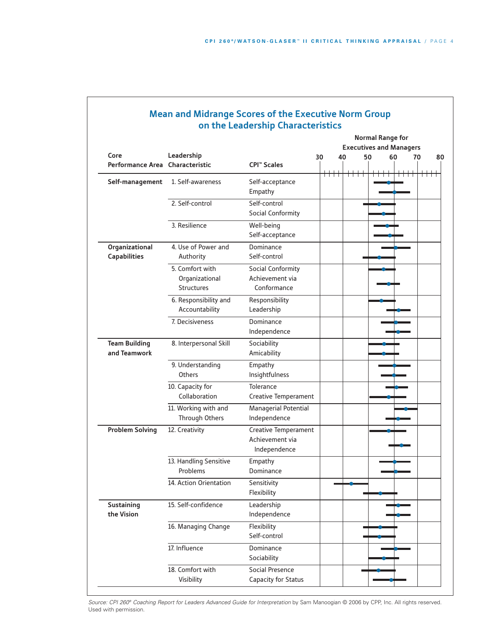|                                 |                        |                               |      | <b>Normal Range for</b><br><b>Executives and Managers</b> |     |    |    |      |      |    |
|---------------------------------|------------------------|-------------------------------|------|-----------------------------------------------------------|-----|----|----|------|------|----|
| Core                            | Leadership             |                               |      | 40                                                        |     | 50 | 60 |      |      | 80 |
| Performance Area Characteristic |                        | <b>CPI<sup>™</sup> Scales</b> | 30   |                                                           |     |    |    |      | 70   |    |
| Self-management                 | 1. Self-awareness      | Self-acceptance               | ┿┿┿┿ |                                                           | ┯┷┷ |    |    | ┿┿┿┿ | ┿┿┿┿ |    |
|                                 |                        | Empathy                       |      |                                                           |     |    |    |      |      |    |
|                                 | 2. Self-control        | Self-control                  |      |                                                           |     |    |    |      |      |    |
|                                 |                        | Social Conformity             |      |                                                           |     |    |    |      |      |    |
|                                 | 3. Resilience          | Well-being<br>Self-acceptance |      |                                                           |     |    |    |      |      |    |
| Organizational                  | 4. Use of Power and    | Dominance                     |      |                                                           |     |    |    |      |      |    |
| <b>Capabilities</b>             | Authority              | Self-control                  |      |                                                           |     |    |    |      |      |    |
|                                 | 5. Comfort with        | Social Conformity             |      |                                                           |     |    |    |      |      |    |
|                                 | Organizational         | Achievement via               |      |                                                           |     |    |    |      |      |    |
|                                 | <b>Structures</b>      | Conformance                   |      |                                                           |     |    |    |      |      |    |
|                                 | 6. Responsibility and  | Responsibility                |      |                                                           |     |    |    |      |      |    |
|                                 | Accountability         | Leadership                    |      |                                                           |     |    |    |      |      |    |
|                                 | 7. Decisiveness        | Dominance                     |      |                                                           |     |    |    |      |      |    |
|                                 |                        | Independence                  |      |                                                           |     |    |    |      |      |    |
| <b>Team Building</b>            | 8. Interpersonal Skill | Sociability                   |      |                                                           |     |    |    |      |      |    |
| and Teamwork                    |                        | Amicability                   |      |                                                           |     |    |    |      |      |    |
|                                 | 9. Understanding       | Empathy                       |      |                                                           |     |    |    |      |      |    |
|                                 | <b>Others</b>          | Insightfulness                |      |                                                           |     |    |    |      |      |    |
|                                 | 10. Capacity for       | Tolerance                     |      |                                                           |     |    |    |      |      |    |
|                                 | Collaboration          | Creative Temperament          |      |                                                           |     |    |    |      |      |    |
|                                 | 11. Working with and   | Managerial Potential          |      |                                                           |     |    |    |      |      |    |
|                                 | Through Others         | Independence                  |      |                                                           |     |    |    |      |      |    |
| <b>Problem Solving</b>          | 12. Creativity         | Creative Temperament          |      |                                                           |     |    |    |      |      |    |
|                                 |                        | Achievement via               |      |                                                           |     |    |    |      |      |    |
|                                 |                        | Independence                  |      |                                                           |     |    |    |      |      |    |
|                                 | 13. Handling Sensitive | Empathy                       |      |                                                           |     |    |    |      |      |    |
|                                 | Problems               | Dominance                     |      |                                                           |     |    |    |      |      |    |
|                                 | 14. Action Orientation | Sensitivity                   |      |                                                           |     |    |    |      |      |    |
|                                 |                        | Flexibility                   |      |                                                           |     |    |    |      |      |    |
| Sustaining                      | 15. Self-confidence    | Leadership                    |      |                                                           |     |    |    |      |      |    |
| the Vision                      |                        | Independence                  |      |                                                           |     |    |    |      |      |    |
|                                 | 16. Managing Change    | Flexibility                   |      |                                                           |     |    |    |      |      |    |
|                                 |                        | Self-control                  |      |                                                           |     |    |    |      |      |    |
|                                 | 17. Influence          | Dominance                     |      |                                                           |     |    |    |      |      |    |
|                                 |                        | Sociability                   |      |                                                           |     |    |    |      |      |    |
|                                 | 18. Comfort with       | Social Presence               |      |                                                           |     |    |    |      |      |    |
|                                 | Visibility             | Capacity for Status           |      |                                                           |     |    |    |      |      |    |

# **Mean and Midrange Scores of the Executive Norm Group on the Leadership Characteristics**

*Source: CPI 260® Coaching Report for Leaders Advanced Guide for Interpretation* by Sam Manoogian © 2006 by CPP, Inc. All rights reserved. Used with permission.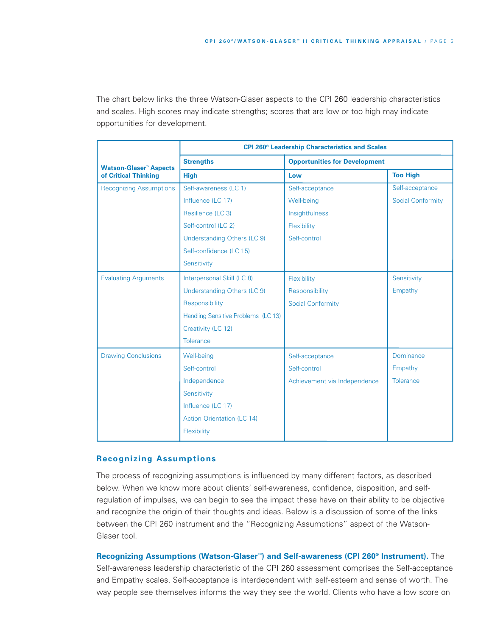The chart below links the three Watson-Glaser aspects to the CPI 260 leadership characteristics and scales. High scores may indicate strengths; scores that are low or too high may indicate opportunities for development.

|                                | <b>CPI 260<sup>®</sup> Leadership Characteristics and Scales</b> |                                      |                          |  |  |  |
|--------------------------------|------------------------------------------------------------------|--------------------------------------|--------------------------|--|--|--|
| <b>Watson-Glaser™ Aspects</b>  | <b>Strengths</b>                                                 | <b>Opportunities for Development</b> |                          |  |  |  |
| of Critical Thinking           | <b>High</b>                                                      | Low                                  | <b>Too High</b>          |  |  |  |
| <b>Recognizing Assumptions</b> | Self-awareness (LC 1)                                            | Self-acceptance                      | Self-acceptance          |  |  |  |
|                                | Influence (LC 17)                                                | Well-being                           | <b>Social Conformity</b> |  |  |  |
|                                | Resilience (LC 3)                                                | Insightfulness                       |                          |  |  |  |
|                                | Self-control (LC 2)                                              | Flexibility                          |                          |  |  |  |
|                                | Understanding Others (LC 9)                                      | Self-control                         |                          |  |  |  |
|                                | Self-confidence (LC 15)                                          |                                      |                          |  |  |  |
|                                | Sensitivity                                                      |                                      |                          |  |  |  |
| <b>Evaluating Arguments</b>    | Interpersonal Skill (LC 8)                                       | Flexibility                          | Sensitivity              |  |  |  |
|                                | Understanding Others (LC 9)                                      | Responsibility                       | Empathy                  |  |  |  |
|                                | Responsibility                                                   | <b>Social Conformity</b>             |                          |  |  |  |
|                                | Handling Sensitive Problems (LC 13)                              |                                      |                          |  |  |  |
|                                | Creativity (LC 12)                                               |                                      |                          |  |  |  |
|                                | <b>Tolerance</b>                                                 |                                      |                          |  |  |  |
| <b>Drawing Conclusions</b>     | Well-being                                                       | Self-acceptance                      | Dominance                |  |  |  |
|                                | Self-control                                                     | Self-control                         | Empathy                  |  |  |  |
|                                | Independence                                                     | Achievement via Independence         | Tolerance                |  |  |  |
|                                | Sensitivity                                                      |                                      |                          |  |  |  |
|                                | Influence (LC 17)                                                |                                      |                          |  |  |  |
|                                | <b>Action Orientation (LC 14)</b>                                |                                      |                          |  |  |  |
|                                | Flexibility                                                      |                                      |                          |  |  |  |
|                                |                                                                  |                                      |                          |  |  |  |

### **Recognizing Assumptions**

The process of recognizing assumptions is influenced by many different factors, as described below. When we know more about clients' self-awareness, confidence, disposition, and selfregulation of impulses, we can begin to see the impact these have on their ability to be objective and recognize the origin of their thoughts and ideas. Below is a discussion of some of the links between the CPI 260 instrument and the "Recognizing Assumptions" aspect of the Watson-Glaser tool.

**Recognizing Assumptions (Watson-Glaser™) and Self-awareness (CPI 260® Instrument).** The Self-awareness leadership characteristic of the CPI 260 assessment comprises the Self-acceptance and Empathy scales. Self-acceptance is interdependent with self-esteem and sense of worth. The way people see themselves informs the way they see the world. Clients who have a low score on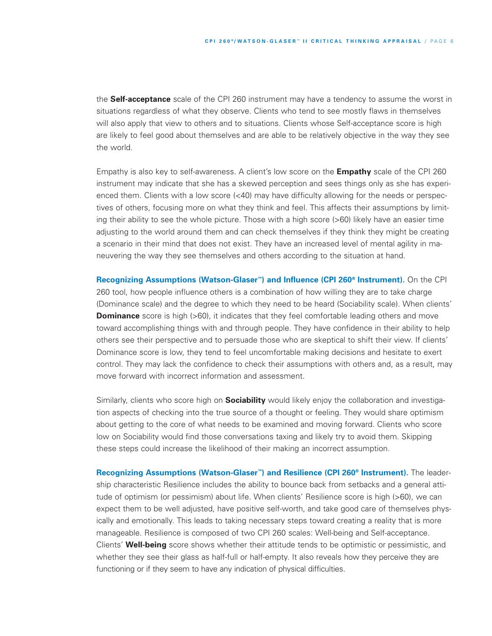the **Self-acceptance** scale of the CPI 260 instrument may have a tendency to assume the worst in situations regardless of what they observe. Clients who tend to see mostly flaws in themselves will also apply that view to others and to situations. Clients whose Self-acceptance score is high are likely to feel good about themselves and are able to be relatively objective in the way they see the world.

Empathy is also key to self-awareness. A client's low score on the **Empathy** scale of the CPI 260 instrument may indicate that she has a skewed perception and sees things only as she has experienced them. Clients with a low score (<40) may have difficulty allowing for the needs or perspectives of others, focusing more on what they think and feel. This affects their assumptions by limiting their ability to see the whole picture. Those with a high score (>60) likely have an easier time adjusting to the world around them and can check themselves if they think they might be creating a scenario in their mind that does not exist. They have an increased level of mental agility in maneuvering the way they see themselves and others according to the situation at hand.

**Recognizing Assumptions (Watson-Glaser™) and Influence (CPI 260® Instrument).** On the CPI 260 tool, how people influence others is a combination of how willing they are to take charge (Dominance scale) and the degree to which they need to be heard (Sociability scale). When clients' **Dominance** score is high (>60), it indicates that they feel comfortable leading others and move toward accomplishing things with and through people. They have confidence in their ability to help others see their perspective and to persuade those who are skeptical to shift their view. If clients' Dominance score is low, they tend to feel uncomfortable making decisions and hesitate to exert control. They may lack the confidence to check their assumptions with others and, as a result, may move forward with incorrect information and assessment.

Similarly, clients who score high on **Sociability** would likely enjoy the collaboration and investigation aspects of checking into the true source of a thought or feeling. They would share optimism about getting to the core of what needs to be examined and moving forward. Clients who score low on Sociability would find those conversations taxing and likely try to avoid them. Skipping these steps could increase the likelihood of their making an incorrect assumption.

**Recognizing Assumptions (Watson-Glaser™) and Resilience (CPI 260® Instrument).** The leadership characteristic Resilience includes the ability to bounce back from setbacks and a general attitude of optimism (or pessimism) about life. When clients' Resilience score is high (>60), we can expect them to be well adjusted, have positive self-worth, and take good care of themselves physically and emotionally. This leads to taking necessary steps toward creating a reality that is more manageable. Resilience is composed of two CPI 260 scales: Well-being and Self-acceptance. Clients' **Well-being** score shows whether their attitude tends to be optimistic or pessimistic, and whether they see their glass as half-full or half-empty. It also reveals how they perceive they are functioning or if they seem to have any indication of physical difficulties.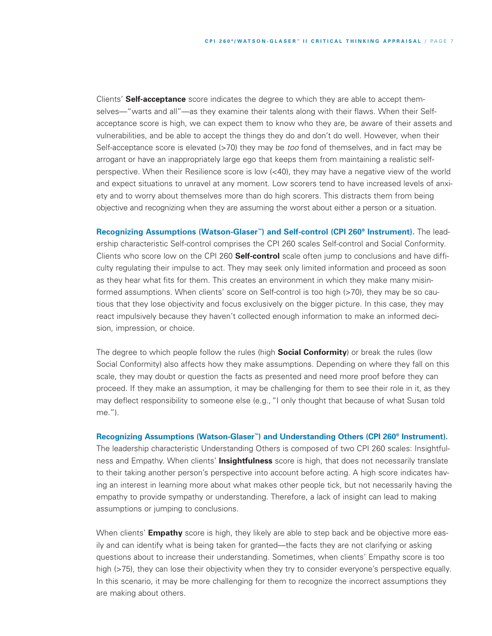Clients' **Self-acceptance** score indicates the degree to which they are able to accept themselves—"warts and all"—as they examine their talents along with their flaws. When their Selfacceptance score is high, we can expect them to know who they are, be aware of their assets and vulnerabilities, and be able to accept the things they do and don't do well. However, when their Self-acceptance score is elevated (>70) they may be *too* fond of themselves, and in fact may be arrogant or have an inappropriately large ego that keeps them from maintaining a realistic selfperspective. When their Resilience score is low (<40), they may have a negative view of the world and expect situations to unravel at any moment. Low scorers tend to have increased levels of anxiety and to worry about themselves more than do high scorers. This distracts them from being objective and recognizing when they are assuming the worst about either a person or a situation.

**Recognizing Assumptions (Watson-Glaser™) and Self-control (CPI 260® Instrument).** The leadership characteristic Self-control comprises the CPI 260 scales Self-control and Social Conformity. Clients who score low on the CPI 260 **Self-control** scale often jump to conclusions and have difficulty regulating their impulse to act. They may seek only limited information and proceed as soon as they hear what fits for them. This creates an environment in which they make many misinformed assumptions. When clients' score on Self-control is too high (>70), they may be so cautious that they lose objectivity and focus exclusively on the bigger picture. In this case, they may react impulsively because they haven't collected enough information to make an informed decision, impression, or choice.

The degree to which people follow the rules (high **Social Conformity**) or break the rules (low Social Conformity) also affects how they make assumptions. Depending on where they fall on this scale, they may doubt or question the facts as presented and need more proof before they can proceed. If they make an assumption, it may be challenging for them to see their role in it, as they may deflect responsibility to someone else (e.g.,"I only thought that because of what Susan told me.").

**Recognizing Assumptions (Watson-Glaser™) and Understanding Others (CPI 260® Instrument).** The leadership characteristic Understanding Others is composed of two CPI 260 scales: Insightfulness and Empathy. When clients' **Insightfulness** score is high, that does not necessarily translate to their taking another person's perspective into account before acting. A high score indicates having an interest in learning more about what makes other people tick, but not necessarily having the empathy to provide sympathy or understanding. Therefore, a lack of insight can lead to making assumptions or jumping to conclusions.

When clients' **Empathy** score is high, they likely are able to step back and be objective more easily and can identify what is being taken for granted—the facts they are not clarifying or asking questions about to increase their understanding. Sometimes, when clients' Empathy score is too high (>75), they can lose their objectivity when they try to consider everyone's perspective equally. In this scenario, it may be more challenging for them to recognize the incorrect assumptions they are making about others.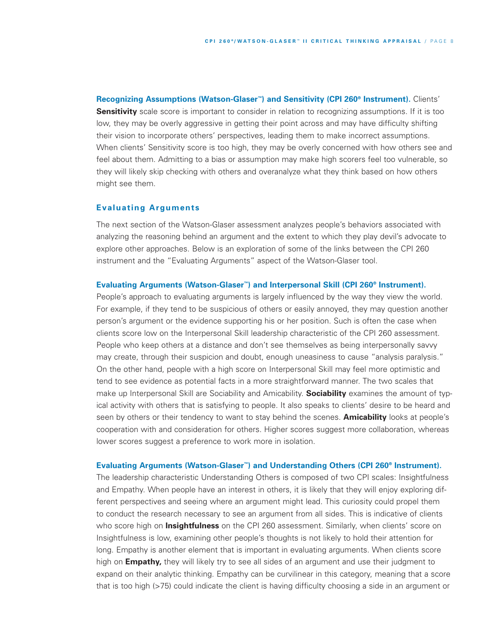**Recognizing Assumptions (Watson-Glaser™) and Sensitivity (CPI 260® Instrument).** Clients' **Sensitivity** scale score is important to consider in relation to recognizing assumptions. If it is too low, they may be overly aggressive in getting their point across and may have difficulty shifting their vision to incorporate others' perspectives, leading them to make incorrect assumptions. When clients' Sensitivity score is too high, they may be overly concerned with how others see and feel about them. Admitting to a bias or assumption may make high scorers feel too vulnerable, so they will likely skip checking with others and overanalyze what they think based on how others might see them.

## **Evaluating Arguments**

The next section of the Watson-Glaser assessment analyzes people's behaviors associated with analyzing the reasoning behind an argument and the extent to which they play devil's advocate to explore other approaches. Below is an exploration of some of the links between the CPI 260 instrument and the "Evaluating Arguments" aspect of the Watson-Glaser tool.

#### **Evaluating Arguments (Watson-Glaser™) and Interpersonal Skill (CPI 260® Instrument).**

People's approach to evaluating arguments is largely influenced by the way they view the world. For example, if they tend to be suspicious of others or easily annoyed, they may question another person's argument or the evidence supporting his or her position. Such is often the case when clients score low on the Interpersonal Skill leadership characteristic of the CPI 260 assessment. People who keep others at a distance and don't see themselves as being interpersonally savvy may create, through their suspicion and doubt, enough uneasiness to cause "analysis paralysis." On the other hand, people with a high score on Interpersonal Skill may feel more optimistic and tend to see evidence as potential facts in a more straightforward manner. The two scales that make up Interpersonal Skill are Sociability and Amicability. **Sociability** examines the amount of typical activity with others that is satisfying to people. It also speaks to clients' desire to be heard and seen by others or their tendency to want to stay behind the scenes. **Amicability** looks at people's cooperation with and consideration for others. Higher scores suggest more collaboration, whereas lower scores suggest a preference to work more in isolation.

#### **Evaluating Arguments (Watson-Glaser™) and Understanding Others (CPI 260® Instrument).**

The leadership characteristic Understanding Others is composed of two CPI scales: Insightfulness and Empathy. When people have an interest in others, it is likely that they will enjoy exploring different perspectives and seeing where an argument might lead. This curiosity could propel them to conduct the research necessary to see an argument from all sides. This is indicative of clients who score high on **Insightfulness** on the CPI 260 assessment. Similarly, when clients' score on Insightfulness is low, examining other people's thoughts is not likely to hold their attention for long. Empathy is another element that is important in evaluating arguments. When clients score high on **Empathy,** they will likely try to see all sides of an argument and use their judgment to expand on their analytic thinking. Empathy can be curvilinear in this category, meaning that a score that is too high (>75) could indicate the client is having difficulty choosing a side in an argument or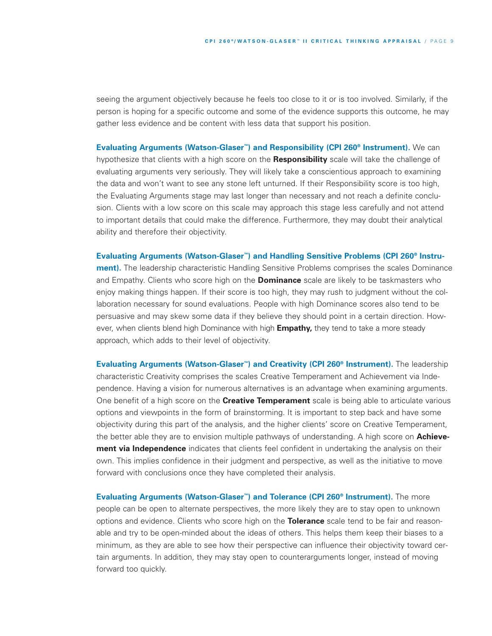seeing the argument objectively because he feels too close to it or is too involved. Similarly, if the person is hoping for a specific outcome and some of the evidence supports this outcome, he may gather less evidence and be content with less data that support his position.

**Evaluating Arguments (Watson-Glaser™) and Responsibility (CPI 260® Instrument).** We can hypothesize that clients with a high score on the **Responsibility** scale will take the challenge of evaluating arguments very seriously. They will likely take a conscientious approach to examining the data and won't want to see any stone left unturned. If their Responsibility score is too high, the Evaluating Arguments stage may last longer than necessary and not reach a definite conclusion. Clients with a low score on this scale may approach this stage less carefully and not attend to important details that could make the difference. Furthermore, they may doubt their analytical ability and therefore their objectivity.

**Evaluating Arguments (Watson-Glaser™) and Handling Sensitive Problems (CPI 260® Instru-**

**ment).** The leadership characteristic Handling Sensitive Problems comprises the scales Dominance and Empathy. Clients who score high on the **Dominance** scale are likely to be taskmasters who enjoy making things happen. If their score is too high, they may rush to judgment without the collaboration necessary for sound evaluations. People with high Dominance scores also tend to be persuasive and may skew some data if they believe they should point in a certain direction. However, when clients blend high Dominance with high **Empathy,** they tend to take a more steady approach, which adds to their level of objectivity.

**Evaluating Arguments (Watson-Glaser™) and Creativity (CPI 260® Instrument).** The leadership characteristic Creativity comprises the scales Creative Temperament and Achievement via Independence. Having a vision for numerous alternatives is an advantage when examining arguments. One benefit of a high score on the **Creative Temperament** scale is being able to articulate various options and viewpoints in the form of brainstorming. It is important to step back and have some objectivity during this part of the analysis, and the higher clients' score on Creative Temperament, the better able they are to envision multiple pathways of understanding. A high score on **Achievement via Independence** indicates that clients feel confident in undertaking the analysis on their own. This implies confidence in their judgment and perspective, as well as the initiative to move forward with conclusions once they have completed their analysis.

**Evaluating Arguments (Watson-Glaser™) and Tolerance (CPI 260® Instrument).** The more people can be open to alternate perspectives, the more likely they are to stay open to unknown options and evidence. Clients who score high on the **Tolerance** scale tend to be fair and reasonable and try to be open-minded about the ideas of others. This helps them keep their biases to a minimum, as they are able to see how their perspective can influence their objectivity toward certain arguments. In addition, they may stay open to counterarguments longer, instead of moving forward too quickly.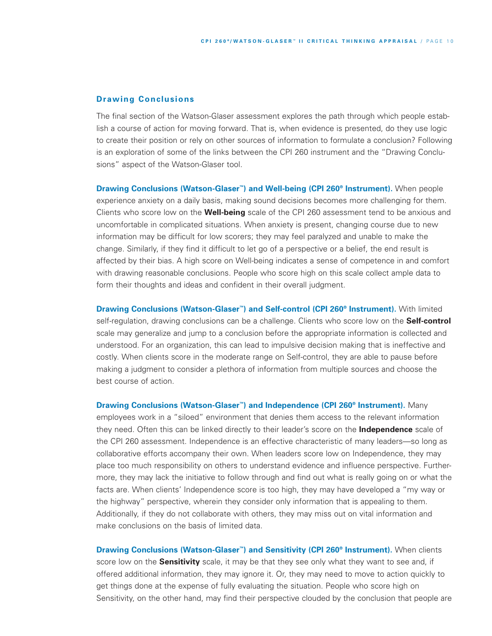#### **Drawing Conclusions**

The final section of the Watson-Glaser assessment explores the path through which people establish a course of action for moving forward. That is, when evidence is presented, do they use logic to create their position or rely on other sources of information to formulate a conclusion? Following is an exploration of some of the links between the CPI 260 instrument and the "Drawing Conclusions" aspect of the Watson-Glaser tool.

**Drawing Conclusions (Watson-Glaser™) and Well-being (CPI 260® Instrument).** When people experience anxiety on a daily basis, making sound decisions becomes more challenging for them. Clients who score low on the **Well-being** scale of the CPI 260 assessment tend to be anxious and uncomfortable in complicated situations. When anxiety is present, changing course due to new information may be difficult for low scorers; they may feel paralyzed and unable to make the change. Similarly, if they find it difficult to let go of a perspective or a belief, the end result is affected by their bias. A high score on Well-being indicates a sense of competence in and comfort with drawing reasonable conclusions. People who score high on this scale collect ample data to form their thoughts and ideas and confident in their overall judgment.

**Drawing Conclusions (Watson-Glaser™) and Self-control (CPI 260® Instrument).** With limited self-regulation, drawing conclusions can be a challenge. Clients who score low on the **Self-control** scale may generalize and jump to a conclusion before the appropriate information is collected and understood. For an organization, this can lead to impulsive decision making that is ineffective and costly. When clients score in the moderate range on Self-control, they are able to pause before making a judgment to consider a plethora of information from multiple sources and choose the best course of action.

**Drawing Conclusions (Watson-Glaser™) and Independence (CPI 260® Instrument).** Many employees work in a "siloed" environment that denies them access to the relevant information they need. Often this can be linked directly to their leader's score on the **Independence** scale of the CPI 260 assessment. Independence is an effective characteristic of many leaders—so long as collaborative efforts accompany their own. When leaders score low on Independence, they may place too much responsibility on others to understand evidence and influence perspective. Furthermore, they may lack the initiative to follow through and find out what is really going on or what the facts are. When clients' Independence score is too high, they may have developed a "my way or the highway" perspective, wherein they consider only information that is appealing to them. Additionally, if they do not collaborate with others, they may miss out on vital information and make conclusions on the basis of limited data.

**Drawing Conclusions (Watson-Glaser™) and Sensitivity (CPI 260® Instrument).** When clients score low on the **Sensitivity** scale, it may be that they see only what they want to see and, if offered additional information, they may ignore it. Or, they may need to move to action quickly to get things done at the expense of fully evaluating the situation. People who score high on Sensitivity, on the other hand, may find their perspective clouded by the conclusion that people are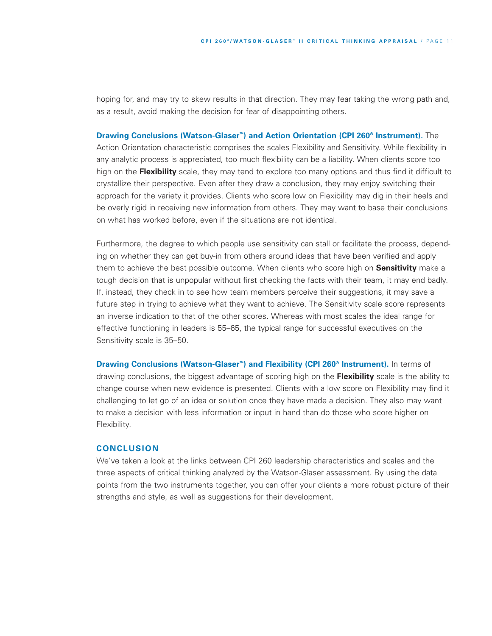hoping for, and may try to skew results in that direction. They may fear taking the wrong path and, as a result, avoid making the decision for fear of disappointing others.

#### **Drawing Conclusions (Watson-Glaser™) and Action Orientation (CPI 260® Instrument).** The

Action Orientation characteristic comprises the scales Flexibility and Sensitivity. While flexibility in any analytic process is appreciated, too much flexibility can be a liability. When clients score too high on the **Flexibility** scale, they may tend to explore too many options and thus find it difficult to crystallize their perspective. Even after they draw a conclusion, they may enjoy switching their approach for the variety it provides. Clients who score low on Flexibility may dig in their heels and be overly rigid in receiving new information from others. They may want to base their conclusions on what has worked before, even if the situations are not identical.

Furthermore, the degree to which people use sensitivity can stall or facilitate the process, depending on whether they can get buy-in from others around ideas that have been verified and apply them to achieve the best possible outcome. When clients who score high on **Sensitivity** make a tough decision that is unpopular without first checking the facts with their team, it may end badly. If, instead, they check in to see how team members perceive their suggestions, it may save a future step in trying to achieve what they want to achieve. The Sensitivity scale score represents an inverse indication to that of the other scores. Whereas with most scales the ideal range for effective functioning in leaders is 55–65, the typical range for successful executives on the Sensitivity scale is 35–50.

**Drawing Conclusions (Watson-Glaser™) and Flexibility (CPI 260® Instrument).** In terms of drawing conclusions, the biggest advantage of scoring high on the **Flexibility** scale is the ability to change course when new evidence is presented. Clients with a low score on Flexibility may find it challenging to let go of an idea or solution once they have made a decision. They also may want to make a decision with less information or input in hand than do those who score higher on Flexibility.

### **CONCLUSION**

We've taken a look at the links between CPI 260 leadership characteristics and scales and the three aspects of critical thinking analyzed by the Watson-Glaser assessment. By using the data points from the two instruments together, you can offer your clients a more robust picture of their strengths and style, as well as suggestions for their development.